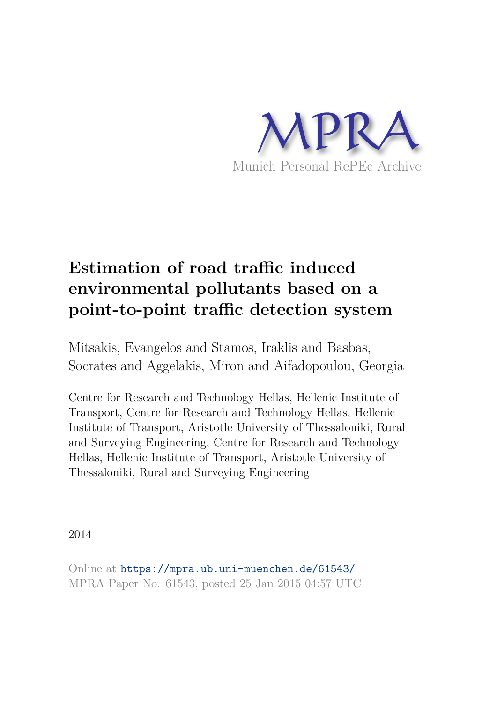

# **Estimation of road traffic induced environmental pollutants based on a point-to-point traffic detection system**

Mitsakis, Evangelos and Stamos, Iraklis and Basbas, Socrates and Aggelakis, Miron and Aifadopoulou, Georgia

Centre for Research and Technology Hellas, Hellenic Institute of Transport, Centre for Research and Technology Hellas, Hellenic Institute of Transport, Aristotle University of Thessaloniki, Rural and Surveying Engineering, Centre for Research and Technology Hellas, Hellenic Institute of Transport, Aristotle University of Thessaloniki, Rural and Surveying Engineering

2014

Online at https://mpra.ub.uni-muenchen.de/61543/ MPRA Paper No. 61543, posted 25 Jan 2015 04:57 UTC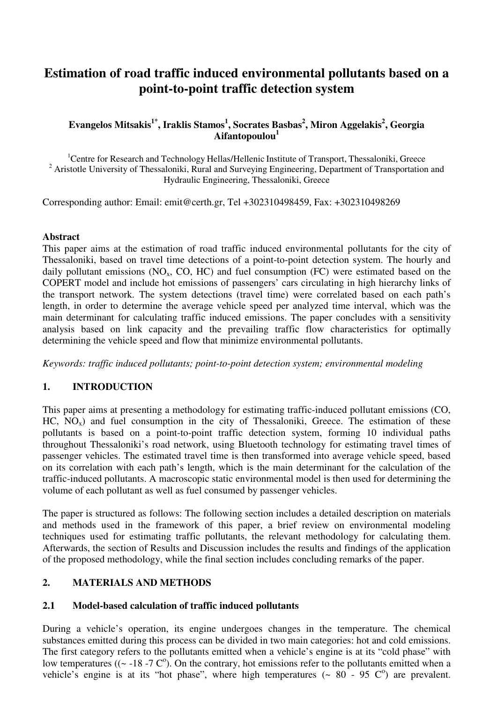# **Estimation of road traffic induced environmental pollutants based on a point-to-point traffic detection system**

# **Evangelos Mitsakis1\*, Iraklis Stamos<sup>1</sup> , Socrates Basbas<sup>2</sup> , Miron Aggelakis<sup>2</sup> , Georgia Aifantopoulou<sup>1</sup>**

<sup>1</sup>Centre for Research and Technology Hellas/Hellenic Institute of Transport, Thessaloniki, Greece <sup>2</sup> Aristotle University of Thessaloniki, Rural and Surveying Engineering, Department of Transportation and Hydraulic Engineering, Thessaloniki, Greece

Corresponding author: Email: emit@certh.gr, Tel +302310498459, Fax: +302310498269

#### **Abstract**

This paper aims at the estimation of road traffic induced environmental pollutants for the city of Thessaloniki, based on travel time detections of a point-to-point detection system. The hourly and daily pollutant emissions ( $NO<sub>x</sub>$ ,  $CO$ ,  $HC$ ) and fuel consumption ( $FC$ ) were estimated based on the COPERT model and include hot emissions of passengers' cars circulating in high hierarchy links of the transport network. The system detections (travel time) were correlated based on each path's length, in order to determine the average vehicle speed per analyzed time interval, which was the main determinant for calculating traffic induced emissions. The paper concludes with a sensitivity analysis based on link capacity and the prevailing traffic flow characteristics for optimally determining the vehicle speed and flow that minimize environmental pollutants.

*Keywords: traffic induced pollutants; point-to-point detection system; environmental modeling* 

# **1. INTRODUCTION**

This paper aims at presenting a methodology for estimating traffic-induced pollutant emissions (CO,  $HC, NO<sub>x</sub>$ ) and fuel consumption in the city of Thessaloniki, Greece. The estimation of these pollutants is based on a point-to-point traffic detection system, forming 10 individual paths throughout Thessaloniki's road network, using Bluetooth technology for estimating travel times of passenger vehicles. The estimated travel time is then transformed into average vehicle speed, based on its correlation with each path's length, which is the main determinant for the calculation of the traffic-induced pollutants. A macroscopic static environmental model is then used for determining the volume of each pollutant as well as fuel consumed by passenger vehicles.

The paper is structured as follows: The following section includes a detailed description on materials and methods used in the framework of this paper, a brief review on environmental modeling techniques used for estimating traffic pollutants, the relevant methodology for calculating them. Afterwards, the section of Results and Discussion includes the results and findings of the application of the proposed methodology, while the final section includes concluding remarks of the paper.

# **2. MATERIALS AND METHODS**

# **2.1 Model-based calculation of traffic induced pollutants**

During a vehicle's operation, its engine undergoes changes in the temperature. The chemical substances emitted during this process can be divided in two main categories: hot and cold emissions. The first category refers to the pollutants emitted when a vehicle's engine is at its "cold phase" with low temperatures ( $({\sim}$  -18 -7 C<sup>o</sup>). On the contrary, hot emissions refer to the pollutants emitted when a vehicle's engine is at its "hot phase", where high temperatures  $($   $\sim$  80  $-$  95 C $\degree$ ) are prevalent.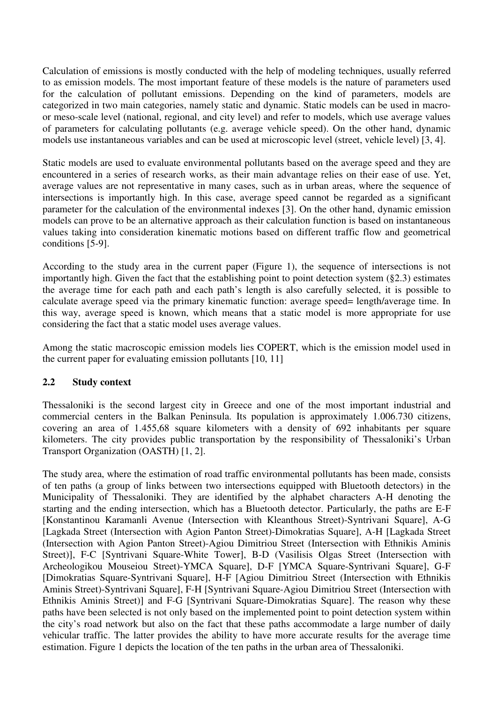Calculation of emissions is mostly conducted with the help of modeling techniques, usually referred to as emission models. The most important feature of these models is the nature of parameters used for the calculation of pollutant emissions. Depending on the kind of parameters, models are categorized in two main categories, namely static and dynamic. Static models can be used in macroor meso-scale level (national, regional, and city level) and refer to models, which use average values of parameters for calculating pollutants (e.g. average vehicle speed). On the other hand, dynamic models use instantaneous variables and can be used at microscopic level (street, vehicle level) [3, 4].

Static models are used to evaluate environmental pollutants based on the average speed and they are encountered in a series of research works, as their main advantage relies on their ease of use. Yet, average values are not representative in many cases, such as in urban areas, where the sequence of intersections is importantly high. In this case, average speed cannot be regarded as a significant parameter for the calculation of the environmental indexes [3]. On the other hand, dynamic emission models can prove to be an alternative approach as their calculation function is based on instantaneous values taking into consideration kinematic motions based on different traffic flow and geometrical conditions [5-9].

According to the study area in the current paper (Figure 1), the sequence of intersections is not importantly high. Given the fact that the establishing point to point detection system (§2.3) estimates the average time for each path and each path's length is also carefully selected, it is possible to calculate average speed via the primary kinematic function: average speed= length/average time. In this way, average speed is known, which means that a static model is more appropriate for use considering the fact that a static model uses average values.

Among the static macroscopic emission models lies COPERT, which is the emission model used in the current paper for evaluating emission pollutants [10, 11]

# **2.2 Study context**

Thessaloniki is the second largest city in Greece and one of the most important industrial and commercial centers in the Balkan Peninsula. Its population is approximately 1.006.730 citizens, covering an area of 1.455,68 square kilometers with a density of 692 inhabitants per square kilometers. The city provides public transportation by the responsibility of Thessaloniki's Urban Transport Organization (OASTH) [1, 2].

The study area, where the estimation of road traffic environmental pollutants has been made, consists of ten paths (a group of links between two intersections equipped with Bluetooth detectors) in the Municipality of Thessaloniki. They are identified by the alphabet characters A-H denoting the starting and the ending intersection, which has a Bluetooth detector. Particularly, the paths are E-F [Konstantinou Karamanli Avenue (Intersection with Kleanthous Street)-Syntrivani Square], A-G [Lagkada Street (Intersection with Agion Panton Street)-Dimokratias Square], A-H [Lagkada Street (Intersection with Agion Panton Street)-Agiou Dimitriou Street (Intersection with Ethnikis Aminis Street)], F-C [Syntrivani Square-White Tower], B-D (Vasilisis Olgas Street (Intersection with Archeologikou Mouseiou Street)-YMCA Square], D-F [YMCA Square-Syntrivani Square], G-F [Dimokratias Square-Syntrivani Square], H-F [Agiou Dimitriou Street (Intersection with Ethnikis Aminis Street)-Syntrivani Square], F-H [Syntrivani Square-Agiou Dimitriou Street (Intersection with Ethnikis Aminis Street)] and F-G [Syntrivani Square-Dimokratias Square]. The reason why these paths have been selected is not only based on the implemented point to point detection system within the city's road network but also on the fact that these paths accommodate a large number of daily vehicular traffic. The latter provides the ability to have more accurate results for the average time estimation. Figure 1 depicts the location of the ten paths in the urban area of Thessaloniki.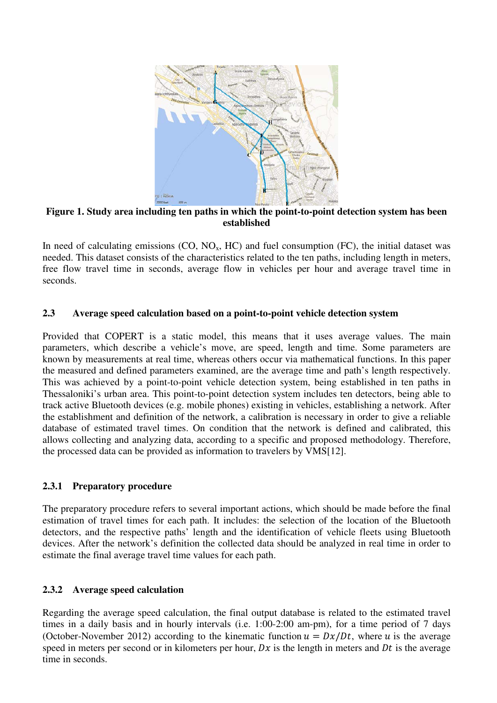

**Figure 1. Study area including ten paths in which the point-to-point detection system has been established**

In need of calculating emissions  $(CO, NO<sub>x</sub>, HC)$  and fuel consumption  $(FC)$ , the initial dataset was needed. This dataset consists of the characteristics related to the ten paths, including length in meters, free flow travel time in seconds, average flow in vehicles per hour and average travel time in seconds.

#### **2.3 Average speed calculation based on a point-to-point vehicle detection system**

Provided that COPERT is a static model, this means that it uses average values. The main parameters, which describe a vehicle's move, are speed, length and time. Some parameters are known by measurements at real time, whereas others occur via mathematical functions. In this paper the measured and defined parameters examined, are the average time and path's length respectively. This was achieved by a point-to-point vehicle detection system, being established in ten paths in Thessaloniki's urban area. This point-to-point detection system includes ten detectors, being able to track active Bluetooth devices (e.g. mobile phones) existing in vehicles, establishing a network. After the establishment and definition of the network, a calibration is necessary in order to give a reliable database of estimated travel times. On condition that the network is defined and calibrated, this allows collecting and analyzing data, according to a specific and proposed methodology. Therefore, the processed data can be provided as information to travelers by VMS[12].

# **2.3.1 Preparatory procedure**

The preparatory procedure refers to several important actions, which should be made before the final estimation of travel times for each path. It includes: the selection of the location of the Bluetooth detectors, and the respective paths' length and the identification of vehicle fleets using Bluetooth devices. After the network's definition the collected data should be analyzed in real time in order to estimate the final average travel time values for each path.

#### **2.3.2 Average speed calculation**

Regarding the average speed calculation, the final output database is related to the estimated travel times in a daily basis and in hourly intervals (i.e. 1:00-2:00 am-pm), for a time period of 7 days (October-November 2012) according to the kinematic function  $u = Dx/Dt$ , where u is the average speed in meters per second or in kilometers per hour,  $Dx$  is the length in meters and  $Dt$  is the average time in seconds.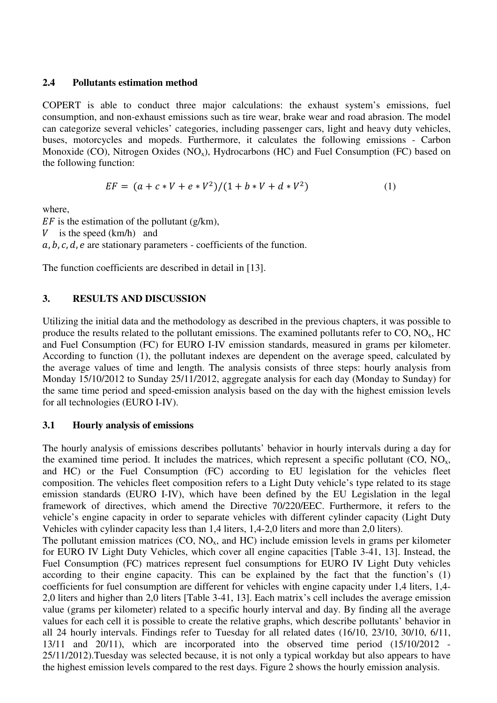#### **2.4 Pollutants estimation method**

COPERT is able to conduct three major calculations: the exhaust system's emissions, fuel consumption, and non-exhaust emissions such as tire wear, brake wear and road abrasion. The model can categorize several vehicles' categories, including passenger cars, light and heavy duty vehicles, buses, motorcycles and mopeds. Furthermore, it calculates the following emissions - Carbon Monoxide (CO), Nitrogen Oxides (NO<sub>x</sub>), Hydrocarbons (HC) and Fuel Consumption (FC) based on the following function:

$$
EF = (a + c * V + e * V2)/(1 + b * V + d * V2)
$$
 (1)

where,

 $EF$  is the estimation of the pollutant (g/km), V is the speed  $(km/h)$  and  $a, b, c, d, e$  are stationary parameters - coefficients of the function.

The function coefficients are described in detail in [13].

# **3. RESULTS AND DISCUSSION**

Utilizing the initial data and the methodology as described in the previous chapters, it was possible to produce the results related to the pollutant emissions. The examined pollutants refer to  $CO$ ,  $NO<sub>x</sub>$ ,  $HC$ and Fuel Consumption (FC) for EURO I-IV emission standards, measured in grams per kilometer. According to function (1), the pollutant indexes are dependent on the average speed, calculated by the average values of time and length. The analysis consists of three steps: hourly analysis from Monday 15/10/2012 to Sunday 25/11/2012, aggregate analysis for each day (Monday to Sunday) for the same time period and speed-emission analysis based on the day with the highest emission levels for all technologies (EURO I-IV).

#### **3.1 Hourly analysis of emissions**

The hourly analysis of emissions describes pollutants' behavior in hourly intervals during a day for the examined time period. It includes the matrices, which represent a specific pollutant  $(CO, NO<sub>x</sub>,$ and HC) or the Fuel Consumption (FC) according to EU legislation for the vehicles fleet composition. The vehicles fleet composition refers to a Light Duty vehicle's type related to its stage emission standards (EURO I-IV), which have been defined by the EU Legislation in the legal framework of directives, which amend the Directive 70/220/EEC. Furthermore, it refers to the vehicle's engine capacity in order to separate vehicles with different cylinder capacity (Light Duty Vehicles with cylinder capacity less than 1,4 liters, 1,4-2,0 liters and more than 2,0 liters). The pollutant emission matrices  $(CO, NO<sub>x</sub>, and HC)$  include emission levels in grams per kilometer

for EURO IV Light Duty Vehicles, which cover all engine capacities [Table 3-41, 13]. Instead, the Fuel Consumption (FC) matrices represent fuel consumptions for EURO IV Light Duty vehicles according to their engine capacity. This can be explained by the fact that the function's (1) coefficients for fuel consumption are different for vehicles with engine capacity under 1,4 liters, 1,4- 2,0 liters and higher than 2,0 liters [Table 3-41, 13]. Each matrix's cell includes the average emission value (grams per kilometer) related to a specific hourly interval and day. By finding all the average values for each cell it is possible to create the relative graphs, which describe pollutants' behavior in all 24 hourly intervals. Findings refer to Tuesday for all related dates (16/10, 23/10, 30/10, 6/11, 13/11 and 20/11), which are incorporated into the observed time period (15/10/2012 - 25/11/2012).Tuesday was selected because, it is not only a typical workday but also appears to have the highest emission levels compared to the rest days. Figure 2 shows the hourly emission analysis.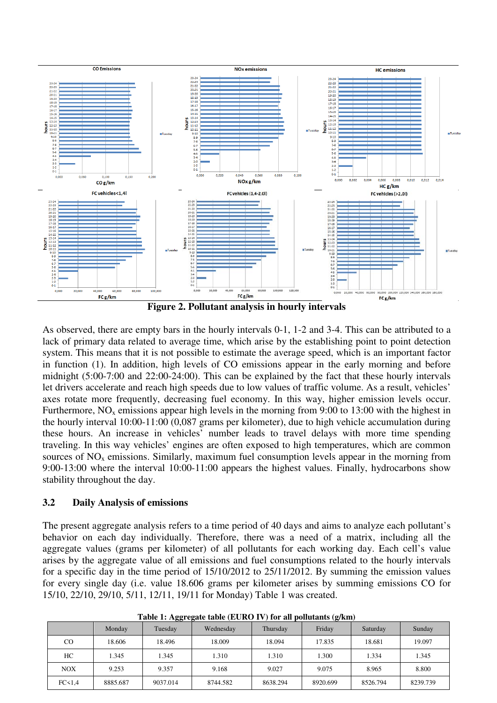

As observed, there are empty bars in the hourly intervals 0-1, 1-2 and 3-4. This can be attributed to a lack of primary data related to average time, which arise by the establishing point to point detection system. This means that it is not possible to estimate the average speed, which is an important factor in function (1). In addition, high levels of CO emissions appear in the early morning and before midnight (5:00-7:00 and 22:00-24:00). This can be explained by the fact that these hourly intervals let drivers accelerate and reach high speeds due to low values of traffic volume. As a result, vehicles' axes rotate more frequently, decreasing fuel economy. In this way, higher emission levels occur. Furthermore,  $NO_x$  emissions appear high levels in the morning from 9:00 to 13:00 with the highest in the hourly interval 10:00-11:00 (0,087 grams per kilometer), due to high vehicle accumulation during these hours. An increase in vehicles' number leads to travel delays with more time spending traveling. In this way vehicles' engines are often exposed to high temperatures, which are common sources of  $NO<sub>x</sub>$  emissions. Similarly, maximum fuel consumption levels appear in the morning from 9:00-13:00 where the interval 10:00-11:00 appears the highest values. Finally, hydrocarbons show stability throughout the day.

#### **3.2 Daily Analysis of emissions**

The present aggregate analysis refers to a time period of 40 days and aims to analyze each pollutant's behavior on each day individually. Therefore, there was a need of a matrix, including all the aggregate values (grams per kilometer) of all pollutants for each working day. Each cell's value arises by the aggregate value of all emissions and fuel consumptions related to the hourly intervals for a specific day in the time period of 15/10/2012 to 25/11/2012. By summing the emission values for every single day (i.e. value 18.606 grams per kilometer arises by summing emissions CO for 15/10, 22/10, 29/10, 5/11, 12/11, 19/11 for Monday) Table 1 was created.

|                   | Monday   | --<br>Tuesday | Wednesday | Thursday | $\sim$<br>Friday | Saturday | Sunday   |
|-------------------|----------|---------------|-----------|----------|------------------|----------|----------|
| CO                | 18.606   | 18.496        | 18.009    | 18.094   | 17.835           | 18.681   | 19.097   |
| HC                | 1.345    | 1.345         | 1.310     | 1.310    | 1.300            | 1.334    | 1.345    |
| <b>NOX</b>        | 9.253    | 9.357         | 9.168     | 9.027    | 9.075            | 8.965    | 8.800    |
| FC <sub>1,4</sub> | 8885.687 | 9037.014      | 8744.582  | 8638.294 | 8920.699         | 8526.794 | 8239.739 |

**Table 1: Aggregate table (EURO IV) for all pollutants (g/km)**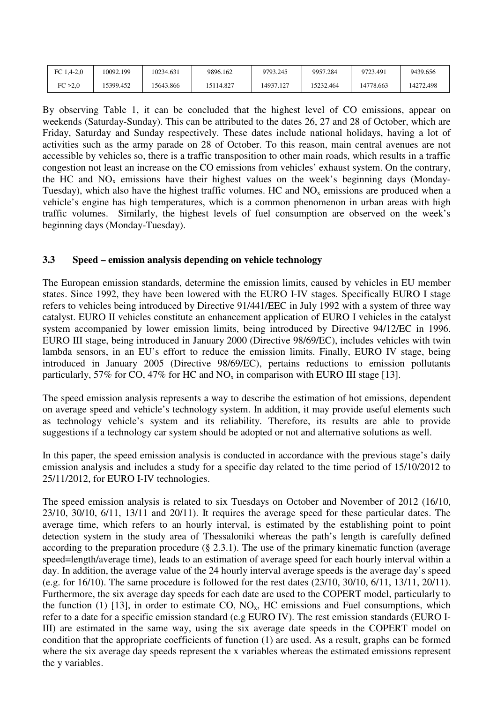| FC $1.4 - 2.0$ | 10092.199 | 10234.631 | 9896.162  | 9793.245  | 9957.284  | 9723.491  | 9439.656  |
|----------------|-----------|-----------|-----------|-----------|-----------|-----------|-----------|
| FC > 2.0       | 15399.452 | 5643.866  | 15114.827 | 14937.127 | 15232.464 | 14778.663 | 14272.498 |

By observing Table 1, it can be concluded that the highest level of CO emissions, appear on weekends (Saturday-Sunday). This can be attributed to the dates 26, 27 and 28 of October, which are Friday, Saturday and Sunday respectively. These dates include national holidays, having a lot of activities such as the army parade on 28 of October. To this reason, main central avenues are not accessible by vehicles so, there is a traffic transposition to other main roads, which results in a traffic congestion not least an increase on the CO emissions from vehicles' exhaust system. On the contrary, the HC and  $NO<sub>x</sub>$  emissions have their highest values on the week's beginning days (Monday-Tuesday), which also have the highest traffic volumes. HC and  $NO<sub>x</sub>$  emissions are produced when a vehicle's engine has high temperatures, which is a common phenomenon in urban areas with high traffic volumes. Similarly, the highest levels of fuel consumption are observed on the week's beginning days (Monday-Tuesday).

#### **3.3 Speed – emission analysis depending on vehicle technology**

The European emission standards, determine the emission limits, caused by vehicles in EU member states. Since 1992, they have been lowered with the EURO I-IV stages. Specifically EURO I stage refers to vehicles being introduced by Directive 91/441/EEC in July 1992 with a system of three way catalyst. EURO II vehicles constitute an enhancement application of EURO I vehicles in the catalyst system accompanied by lower emission limits, being introduced by Directive 94/12/EC in 1996. EURO III stage, being introduced in January 2000 (Directive 98/69/EC), includes vehicles with twin lambda sensors, in an EU's effort to reduce the emission limits. Finally, EURO IV stage, being introduced in January 2005 (Directive 98/69/EC), pertains reductions to emission pollutants particularly, 57% for CO, 47% for HC and  $NO<sub>x</sub>$  in comparison with EURO III stage [13].

The speed emission analysis represents a way to describe the estimation of hot emissions, dependent on average speed and vehicle's technology system. In addition, it may provide useful elements such as technology vehicle's system and its reliability. Therefore, its results are able to provide suggestions if a technology car system should be adopted or not and alternative solutions as well.

In this paper, the speed emission analysis is conducted in accordance with the previous stage's daily emission analysis and includes a study for a specific day related to the time period of 15/10/2012 to 25/11/2012, for EURO I-IV technologies.

The speed emission analysis is related to six Tuesdays on October and November of 2012 (16/10, 23/10, 30/10, 6/11, 13/11 and 20/11). It requires the average speed for these particular dates. The average time, which refers to an hourly interval, is estimated by the establishing point to point detection system in the study area of Thessaloniki whereas the path's length is carefully defined according to the preparation procedure  $(\S$  2.3.1). The use of the primary kinematic function (average speed=length/average time), leads to an estimation of average speed for each hourly interval within a day. In addition, the average value of the 24 hourly interval average speeds is the average day's speed (e.g. for 16/10). The same procedure is followed for the rest dates (23/10, 30/10, 6/11, 13/11, 20/11). Furthermore, the six average day speeds for each date are used to the COPERT model, particularly to the function (1) [13], in order to estimate CO,  $NO<sub>x</sub>$ , HC emissions and Fuel consumptions, which refer to a date for a specific emission standard (e.g EURO IV). The rest emission standards (EURO I-III) are estimated in the same way, using the six average date speeds in the COPERT model on condition that the appropriate coefficients of function (1) are used. As a result, graphs can be formed where the six average day speeds represent the x variables whereas the estimated emissions represent the y variables.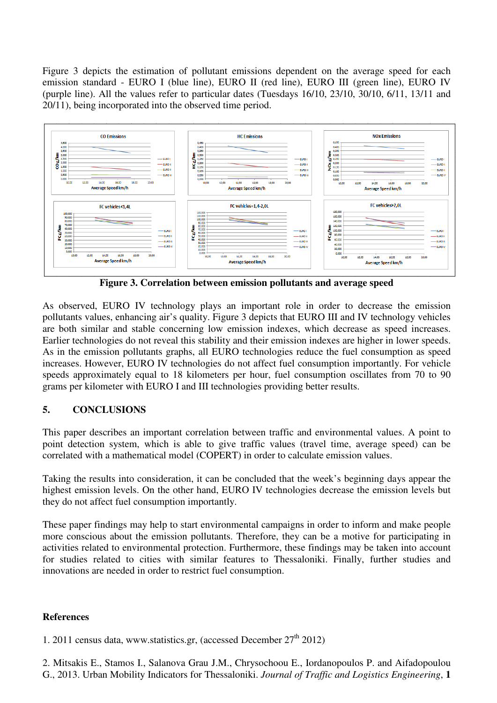Figure 3 depicts the estimation of pollutant emissions dependent on the average speed for each emission standard - EURO I (blue line), EURO II (red line), EURO III (green line), EURO IV (purple line). All the values refer to particular dates (Tuesdays 16/10, 23/10, 30/10, 6/11, 13/11 and 20/11), being incorporated into the observed time period.



**Figure 3. Correlation between emission pollutants and average speed** 

As observed, EURO IV technology plays an important role in order to decrease the emission pollutants values, enhancing air's quality. Figure 3 depicts that EURO III and IV technology vehicles are both similar and stable concerning low emission indexes, which decrease as speed increases. Earlier technologies do not reveal this stability and their emission indexes are higher in lower speeds. As in the emission pollutants graphs, all EURO technologies reduce the fuel consumption as speed increases. However, EURO IV technologies do not affect fuel consumption importantly. For vehicle speeds approximately equal to 18 kilometers per hour, fuel consumption oscillates from 70 to 90 grams per kilometer with EURO I and III technologies providing better results.

# **5. CONCLUSIONS**

This paper describes an important correlation between traffic and environmental values. A point to point detection system, which is able to give traffic values (travel time, average speed) can be correlated with a mathematical model (COPERT) in order to calculate emission values.

Taking the results into consideration, it can be concluded that the week's beginning days appear the highest emission levels. On the other hand, EURO IV technologies decrease the emission levels but they do not affect fuel consumption importantly.

These paper findings may help to start environmental campaigns in order to inform and make people more conscious about the emission pollutants. Therefore, they can be a motive for participating in activities related to environmental protection. Furthermore, these findings may be taken into account for studies related to cities with similar features to Thessaloniki. Finally, further studies and innovations are needed in order to restrict fuel consumption.

# **References**

1. 2011 census data, www.statistics.gr, (accessed December  $27<sup>th</sup> 2012$ )

2. Mitsakis E., Stamos I., Salanova Grau J.M., Chrysochoou E., Iordanopoulos P. and Aifadopoulou G., 2013. Urban Mobility Indicators for Thessaloniki. *Journal of Traffic and Logistics Engineering*, **1**